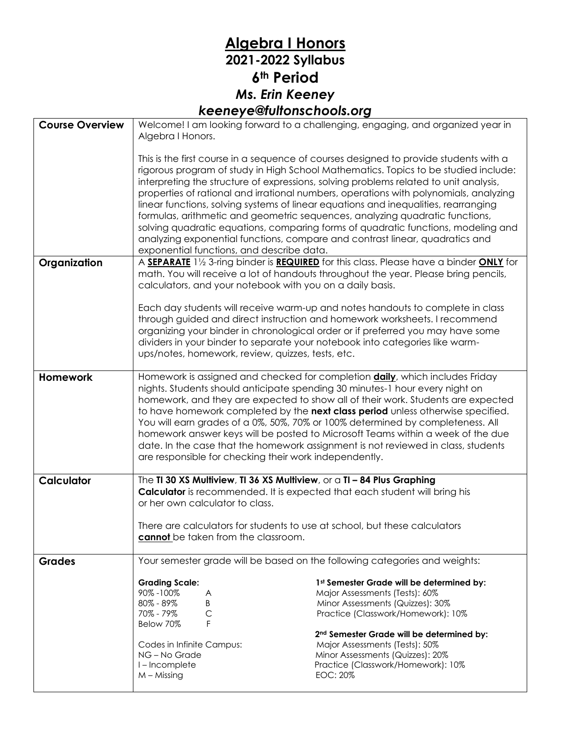## **Algebra I Honors 2021-2022 Syllabus 6th Period** *Ms. Erin Keeney keeneye@fultonschools.org*

| <b>Course Overview</b> | Welcome! I am looking forward to a challenging, engaging, and organized year in<br>Algebra I Honors.                                                                                                                                                                                                                                                                                                                                                                                                                                                                                                                                                            |                                                                                                                                                                                                                                                                                                                                                                                                                                                                                                                                                                                                                                                                                                            |
|------------------------|-----------------------------------------------------------------------------------------------------------------------------------------------------------------------------------------------------------------------------------------------------------------------------------------------------------------------------------------------------------------------------------------------------------------------------------------------------------------------------------------------------------------------------------------------------------------------------------------------------------------------------------------------------------------|------------------------------------------------------------------------------------------------------------------------------------------------------------------------------------------------------------------------------------------------------------------------------------------------------------------------------------------------------------------------------------------------------------------------------------------------------------------------------------------------------------------------------------------------------------------------------------------------------------------------------------------------------------------------------------------------------------|
|                        | exponential functions, and describe data.                                                                                                                                                                                                                                                                                                                                                                                                                                                                                                                                                                                                                       | This is the first course in a sequence of courses designed to provide students with a<br>rigorous program of study in High School Mathematics. Topics to be studied include:<br>interpreting the structure of expressions, solving problems related to unit analysis,<br>properties of rational and irrational numbers, operations with polynomials, analyzing<br>linear functions, solving systems of linear equations and inequalities, rearranging<br>formulas, arithmetic and geometric sequences, analyzing quadratic functions,<br>solving quadratic equations, comparing forms of quadratic functions, modeling and<br>analyzing exponential functions, compare and contrast linear, quadratics and |
| Organization           | calculators, and your notebook with you on a daily basis.                                                                                                                                                                                                                                                                                                                                                                                                                                                                                                                                                                                                       | A SEPARATE 11/2 3-ring binder is REQUIRED for this class. Please have a binder ONLY for<br>math. You will receive a lot of handouts throughout the year. Please bring pencils,<br>Each day students will receive warm-up and notes handouts to complete in class<br>through guided and direct instruction and homework worksheets. I recommend                                                                                                                                                                                                                                                                                                                                                             |
|                        | ups/notes, homework, review, quizzes, tests, etc.                                                                                                                                                                                                                                                                                                                                                                                                                                                                                                                                                                                                               | organizing your binder in chronological order or if preferred you may have some<br>dividers in your binder to separate your notebook into categories like warm-                                                                                                                                                                                                                                                                                                                                                                                                                                                                                                                                            |
| <b>Homework</b>        | Homework is assigned and checked for completion <b>daily</b> , which includes Friday<br>nights. Students should anticipate spending 30 minutes-1 hour every night on<br>homework, and they are expected to show all of their work. Students are expected<br>to have homework completed by the next class period unless otherwise specified.<br>You will earn grades of a 0%, 50%, 70% or 100% determined by completeness. All<br>homework answer keys will be posted to Microsoft Teams within a week of the due<br>date. In the case that the homework assignment is not reviewed in class, students<br>are responsible for checking their work independently. |                                                                                                                                                                                                                                                                                                                                                                                                                                                                                                                                                                                                                                                                                                            |
| <b>Calculator</b>      | The TI 30 XS Multiview, TI 36 XS Multiview, or a TI - 84 Plus Graphing<br><b>Calculator</b> is recommended. It is expected that each student will bring his<br>or her own calculator to class.<br>There are calculators for students to use at school, but these calculators                                                                                                                                                                                                                                                                                                                                                                                    |                                                                                                                                                                                                                                                                                                                                                                                                                                                                                                                                                                                                                                                                                                            |
|                        | cannot be taken from the classroom.                                                                                                                                                                                                                                                                                                                                                                                                                                                                                                                                                                                                                             |                                                                                                                                                                                                                                                                                                                                                                                                                                                                                                                                                                                                                                                                                                            |
| <b>Grades</b>          | Your semester grade will be based on the following categories and weights:                                                                                                                                                                                                                                                                                                                                                                                                                                                                                                                                                                                      |                                                                                                                                                                                                                                                                                                                                                                                                                                                                                                                                                                                                                                                                                                            |
|                        | <b>Grading Scale:</b><br>90%-100%<br>A<br>80% - 89%<br>B<br>$\mathsf{C}$<br>70% - 79%<br>F<br>Below 70%                                                                                                                                                                                                                                                                                                                                                                                                                                                                                                                                                         | 1st Semester Grade will be determined by:<br>Major Assessments (Tests): 60%<br>Minor Assessments (Quizzes): 30%<br>Practice (Classwork/Homework): 10%                                                                                                                                                                                                                                                                                                                                                                                                                                                                                                                                                      |
|                        | Codes in Infinite Campus:<br>NG - No Grade<br>I-Incomplete<br>$M - M$ issing                                                                                                                                                                                                                                                                                                                                                                                                                                                                                                                                                                                    | 2nd Semester Grade will be determined by:<br>Major Assessments (Tests): 50%<br>Minor Assessments (Quizzes): 20%<br>Practice (Classwork/Homework): 10%<br><b>EOC: 20%</b>                                                                                                                                                                                                                                                                                                                                                                                                                                                                                                                                   |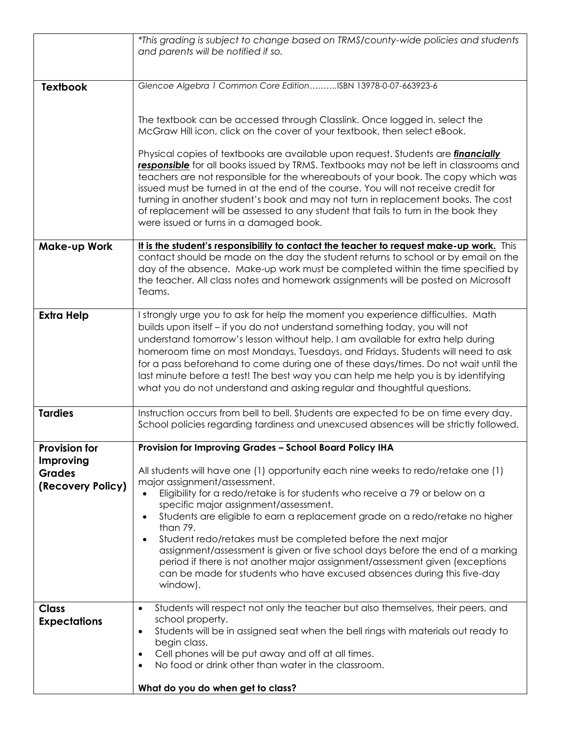|                                                 | *This grading is subject to change based on TRMS/county-wide policies and students<br>and parents will be notified if so.                                                                                                                                                                                                                                                                                                                                                                                                                                                                                                                                                                              |  |
|-------------------------------------------------|--------------------------------------------------------------------------------------------------------------------------------------------------------------------------------------------------------------------------------------------------------------------------------------------------------------------------------------------------------------------------------------------------------------------------------------------------------------------------------------------------------------------------------------------------------------------------------------------------------------------------------------------------------------------------------------------------------|--|
|                                                 |                                                                                                                                                                                                                                                                                                                                                                                                                                                                                                                                                                                                                                                                                                        |  |
| <b>Textbook</b>                                 | Glencoe Algebra 1 Common Core EditionISBN 13978-0-07-663923-6                                                                                                                                                                                                                                                                                                                                                                                                                                                                                                                                                                                                                                          |  |
|                                                 |                                                                                                                                                                                                                                                                                                                                                                                                                                                                                                                                                                                                                                                                                                        |  |
|                                                 | The textbook can be accessed through Classlink. Once logged in, select the<br>McGraw Hill icon, click on the cover of your textbook, then select eBook.                                                                                                                                                                                                                                                                                                                                                                                                                                                                                                                                                |  |
|                                                 | Physical copies of textbooks are available upon request. Students are <i>financially</i><br>responsible for all books issued by TRMS. Textbooks may not be left in classrooms and<br>teachers are not responsible for the whereabouts of your book. The copy which was<br>issued must be turned in at the end of the course. You will not receive credit for<br>turning in another student's book and may not turn in replacement books. The cost<br>of replacement will be assessed to any student that fails to turn in the book they<br>were issued or turns in a damaged book.                                                                                                                     |  |
| <b>Make-up Work</b>                             | It is the student's responsibility to contact the teacher to request make-up work. This<br>contact should be made on the day the student returns to school or by email on the<br>day of the absence. Make-up work must be completed within the time specified by<br>the teacher. All class notes and homework assignments will be posted on Microsoft<br>Teams.                                                                                                                                                                                                                                                                                                                                        |  |
| <b>Extra Help</b>                               | I strongly urge you to ask for help the moment you experience difficulties. Math<br>builds upon itself - if you do not understand something today, you will not<br>understand tomorrow's lesson without help. I am available for extra help during<br>homeroom time on most Mondays, Tuesdays, and Fridays. Students will need to ask<br>for a pass beforehand to come during one of these days/times. Do not wait until the<br>last minute before a test! The best way you can help me help you is by identifying<br>what you do not understand and asking regular and thoughtful questions.                                                                                                          |  |
| <b>Tardies</b>                                  | Instruction occurs from bell to bell. Students are expected to be on time every day.<br>School policies regarding tardiness and unexcused absences will be strictly followed.                                                                                                                                                                                                                                                                                                                                                                                                                                                                                                                          |  |
| <b>Provision for</b>                            | Provision for Improving Grades - School Board Policy IHA                                                                                                                                                                                                                                                                                                                                                                                                                                                                                                                                                                                                                                               |  |
| Improving<br><b>Grades</b><br>(Recovery Policy) | All students will have one (1) opportunity each nine weeks to redo/retake one (1)<br>major assignment/assessment.<br>Eligibility for a redo/retake is for students who receive a 79 or below on a<br>$\bullet$<br>specific major assignment/assessment.<br>Students are eligible to earn a replacement grade on a redo/retake no higher<br>$\bullet$<br>than 79.<br>Student redo/retakes must be completed before the next major<br>$\bullet$<br>assignment/assessment is given or five school days before the end of a marking<br>period if there is not another major assignment/assessment given (exceptions<br>can be made for students who have excused absences during this five-day<br>window). |  |
| <b>Class</b><br><b>Expectations</b>             | Students will respect not only the teacher but also themselves, their peers, and<br>$\bullet$<br>school property.<br>Students will be in assigned seat when the bell rings with materials out ready to<br>$\bullet$<br>begin class.<br>Cell phones will be put away and off at all times.<br>$\bullet$<br>No food or drink other than water in the classroom.<br>$\bullet$<br>What do you do when get to class?                                                                                                                                                                                                                                                                                        |  |